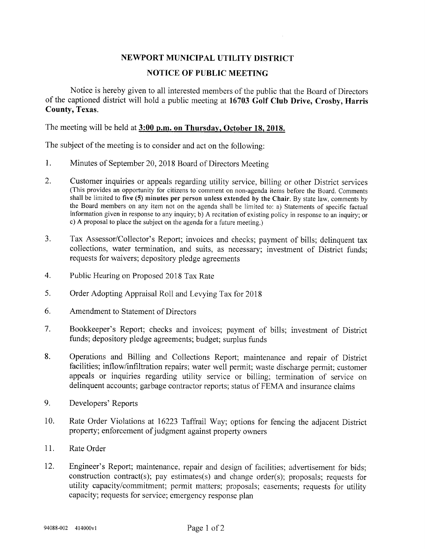## NEWPORT MUNICIPAL UTILITY DISTRICT

## NOTICE OF PUBLIC MEETING

Notice is hereby given to all interested members of the public that the Board of Directors of the captioned district will hold a public meeting at 16703 Golf Club Drive, Crosby, Harris County, Texas.

The meeting will be held at 3:00 p.m. on Thursday, October 18, 2018.

The subject of the meeting is to consider and act on the following:

- 1. Minutes of September 20, 2018 Board of Directors Meeting
- 2. Customer inquiries or appeals regarding utility service, billing or other District services (This provides an opportunity for citizens to comment on non-agenda items before the Board. Comments shall be limited to five (5) minutes per person unless extended by the Chair. By state law, comments by the Board members on any item not on the agenda shall be limited to: a) Statements of specific factual information given in response to any inquiry; b) A recitation of existing policy in response to an inquiry; or c) A proposal to place the subject on the agenda for a future meeting.)
- 3. Tax Assessor/Collector's Report; invoices and checks; payment of bills; delinquent tax collections, water termination, and suits, as necessary; investment of District funds; requests for waivers; depository pledge agreements
- 4. Public Hearing on Proposed 2018 Tax Rate
- 5. Order Adopting Appraisal Roll and Levying Tax for 2018
- 6. Amendment to Statement of Directors
- 7. Bookkeeper's Report; checks and invoices; payment of bills; investment of District funds; depository pledge agreements; budget; surplus funds
- 8. Operations and Billing and Collections Report; maintenance and repair of District facilities; inflow/infiltration repairs; water well permit; waste discharge permit; customer appeals or inquiries regarding utility service or billing; termination of service on delinquent accounts; garbage contractor reports; status of FEMA and insurance claims
- 9. Developers' Reports
- 10. Rate Order Violations at 16223 Taffrail Way; options for fencing the adjacent District property; enforcement of judgment against property owners
- 11. Rate Order
- 12. Engineer's Report; maintenance, repair and design of facilities; advertisement for bids; construction contract(s); pay estimates(s) and change order(s); proposals; requests for utility capacity/commitment; permit matters; proposals; easements; requests for utility capacity; requests for service; emergency response plan